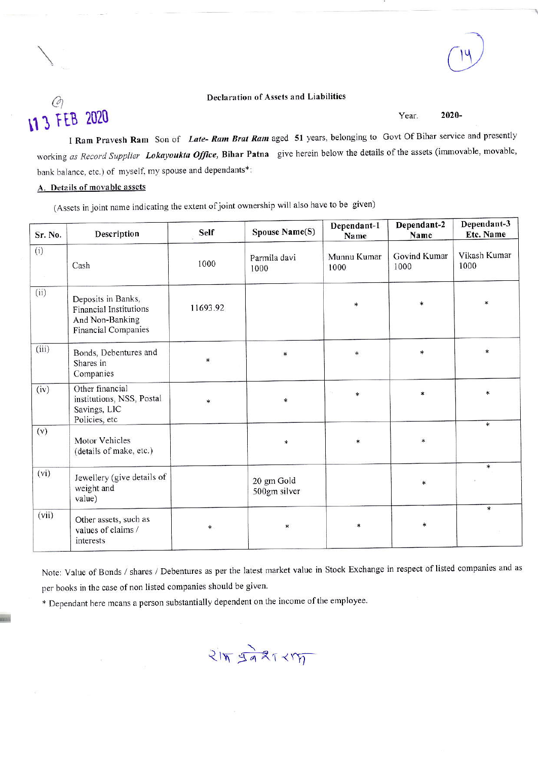#### **Declaration of Assets and Liabilities**

# Ø 11 3 FEB 2020

2020-Year.

I Ram Pravesh Ram Son of Late-Ram Brat Ram aged 51 years, belonging to Govt Of Bihar service and presently working as Record Supplier Lokayoukta Office, Bihar Patna give herein below the details of the assets (immovable, movable, bank balance, etc.) of myself, my spouse and dependants\*:

### A. Details of movable assets

(Assets in joint name indicating the extent of joint ownership will also have to be given)

| Sr. No. | Description                                                                                   | Self     | Spouse Name(S)             | Dependant-1<br>Name | Dependant-2<br>Name  | Dependant-3<br>Etc. Name |
|---------|-----------------------------------------------------------------------------------------------|----------|----------------------------|---------------------|----------------------|--------------------------|
| (i)     | Cash                                                                                          | 1000     | Parmila davi<br>1000       | Munnu Kumar<br>1000 | Govind Kumar<br>1000 | Vikash Kumar<br>1000     |
| (ii)    | Deposits in Banks,<br><b>Financial Institutions</b><br>And Non-Banking<br>Financial Companies | 11693.92 |                            | $\ast$              | *                    | $\ast$                   |
| (iii)   | Bonds, Debentures and<br>Shares in<br>Companies                                               | $\ast$   | $\ast$                     | $\ast$              | $\ast$               | $\ast$                   |
| (iv)    | Other financial<br>institutions, NSS, Postal<br>Savings, LIC<br>Policies, etc                 | $\ast$   | $\ast$                     | $\ast$              | $\ast$               | $\ast$                   |
| (v)     | Motor Vehicles<br>(details of make, etc.)                                                     |          | *                          | $\ast$              | $\ast$               | $\ast$                   |
| (vi)    | Jewellery (give details of<br>weight and<br>value)                                            |          | 20 gm Gold<br>500gm silver |                     | $\ast$               | $\ast$                   |
| (vii)   | Other assets, such as<br>values of claims /<br>interests                                      | *        | $\ast$                     | $\ast$              | $\ast$               | $\ast$                   |

Note: Value of Bonds / shares / Debentures as per the latest market value in Stock Exchange in respect of listed companies and as per books in the case of non listed companies should be given.

\* Dependant here means a person substantially dependent on the income of the employee.

 $215, 5931117$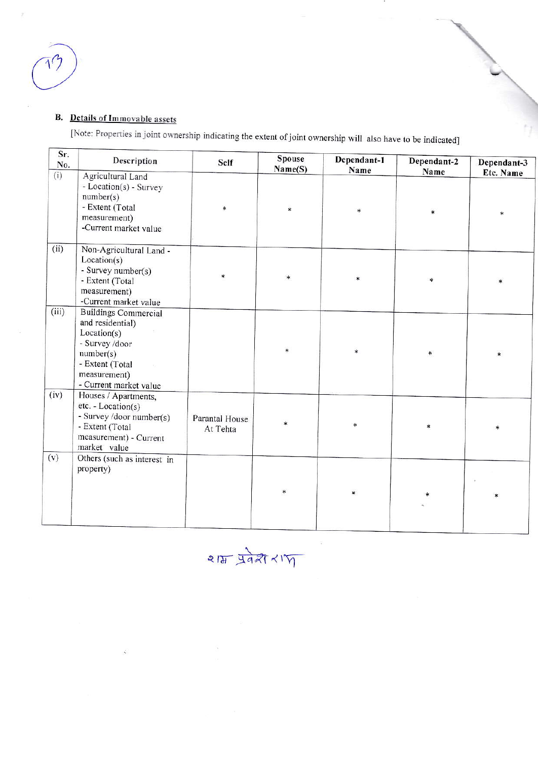## **B.** Details of Immovable assets

[Note: Properties in joint ownership indicating the extent of joint ownership will also have to be indicated]

| Sr.<br>No. | Description                                                                                                                                                | Self                       | <b>Spouse</b><br>Name(S) | Dependant-1<br>Name | Dependant-2<br>Name | Dependant-3 |
|------------|------------------------------------------------------------------------------------------------------------------------------------------------------------|----------------------------|--------------------------|---------------------|---------------------|-------------|
| (i)        | Agricultural Land<br>- Location(s) - Survey<br>number(s)<br>- Extent (Total<br>measurement)<br>-Current market value                                       | ∗                          | *                        | *                   | ź.                  | Etc. Name   |
| (ii)       | Non-Agricultural Land -<br>Location(s)<br>- Survey number(s)<br>- Extent (Total<br>measurement)<br>-Current market value                                   | ∗                          | $\ast$                   | *                   | *                   |             |
| (iii)      | <b>Buildings Commercial</b><br>and residential)<br>Location(s)<br>- Survey /door<br>number(s)<br>- Extent (Total<br>measurement)<br>- Current market value |                            | $\ast$                   |                     | $\ast$              |             |
| (iv)       | Houses / Apartments,<br>$etc. - Location(s)$<br>- Survey /door number(s)<br>- Extent (Total<br>measurement) - Current<br>market value                      | Parantal House<br>At Tehta |                          | xk                  | $\ast$              | $\ast$      |
| (v)        | Others (such as interest in<br>property)                                                                                                                   |                            | $\ast$                   | *                   |                     |             |

 $215$   $3927 < 17$